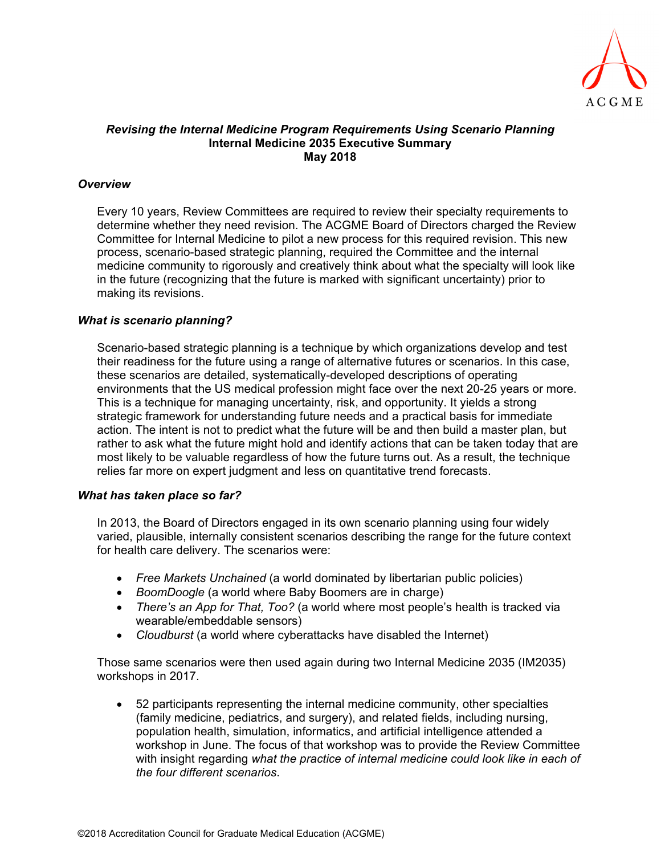

## *Revising the Internal Medicine Program Requirements Using Scenario Planning*  **Internal Medicine 2035 Executive Summary May 2018**

## *Overview*

Every 10 years, Review Committees are required to review their specialty requirements to determine whether they need revision. The ACGME Board of Directors charged the Review Committee for Internal Medicine to pilot a new process for this required revision. This new process, scenario-based strategic planning, required the Committee and the internal medicine community to rigorously and creatively think about what the specialty will look like in the future (recognizing that the future is marked with significant uncertainty) prior to making its revisions.

## *What is scenario planning?*

Scenario-based strategic planning is a technique by which organizations develop and test their readiness for the future using a range of alternative futures or scenarios. In this case, these scenarios are detailed, systematically-developed descriptions of operating environments that the US medical profession might face over the next 20-25 years or more. This is a technique for managing uncertainty, risk, and opportunity. It yields a strong strategic framework for understanding future needs and a practical basis for immediate action. The intent is not to predict what the future will be and then build a master plan, but rather to ask what the future might hold and identify actions that can be taken today that are most likely to be valuable regardless of how the future turns out. As a result, the technique relies far more on expert judgment and less on quantitative trend forecasts.

#### *What has taken place so far?*

In 2013, the Board of Directors engaged in its own scenario planning using four widely varied, plausible, internally consistent scenarios describing the range for the future context for health care delivery. The scenarios were:

- *Free Markets Unchained* (a world dominated by libertarian public policies)
- *BoomDoogle* (a world where Baby Boomers are in charge)
- *There's an App for That, Too?* (a world where most people's health is tracked via wearable/embeddable sensors)
- *Cloudburst* (a world where cyberattacks have disabled the Internet)

Those same scenarios were then used again during two Internal Medicine 2035 (IM2035) workshops in 2017.

 52 participants representing the internal medicine community, other specialties (family medicine, pediatrics, and surgery), and related fields, including nursing, population health, simulation, informatics, and artificial intelligence attended a workshop in June. The focus of that workshop was to provide the Review Committee with insight regarding *what the practice of internal medicine could look like in each of the four different scenarios*.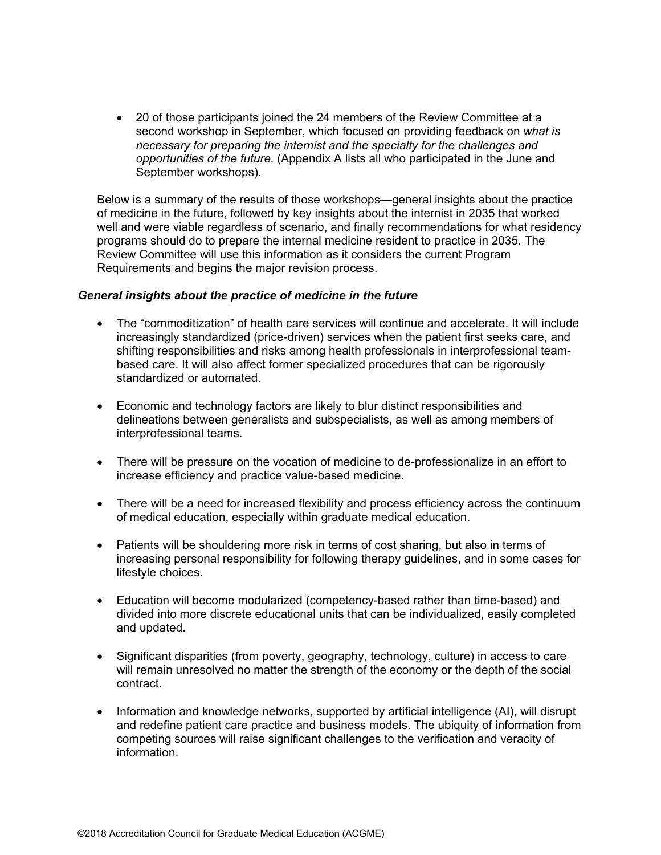20 of those participants joined the 24 members of the Review Committee at a second workshop in September, which focused on providing feedback on *what is necessary for preparing the internist and the specialty for the challenges and opportunities of the future.* (Appendix A lists all who participated in the June and September workshops).

Below is a summary of the results of those workshops—general insights about the practice of medicine in the future, followed by key insights about the internist in 2035 that worked well and were viable regardless of scenario, and finally recommendations for what residency programs should do to prepare the internal medicine resident to practice in 2035. The Review Committee will use this information as it considers the current Program Requirements and begins the major revision process.

#### *General insights about the practice of medicine in the future*

- The "commoditization" of health care services will continue and accelerate. It will include increasingly standardized (price-driven) services when the patient first seeks care, and shifting responsibilities and risks among health professionals in interprofessional teambased care. It will also affect former specialized procedures that can be rigorously standardized or automated.
- Economic and technology factors are likely to blur distinct responsibilities and delineations between generalists and subspecialists, as well as among members of interprofessional teams.
- There will be pressure on the vocation of medicine to de-professionalize in an effort to increase efficiency and practice value-based medicine.
- There will be a need for increased flexibility and process efficiency across the continuum of medical education, especially within graduate medical education.
- Patients will be shouldering more risk in terms of cost sharing, but also in terms of increasing personal responsibility for following therapy guidelines, and in some cases for lifestyle choices.
- Education will become modularized (competency-based rather than time-based) and divided into more discrete educational units that can be individualized, easily completed and updated.
- Significant disparities (from poverty, geography, technology, culture) in access to care will remain unresolved no matter the strength of the economy or the depth of the social contract.
- Information and knowledge networks, supported by artificial intelligence (AI), will disrupt and redefine patient care practice and business models. The ubiquity of information from competing sources will raise significant challenges to the verification and veracity of information.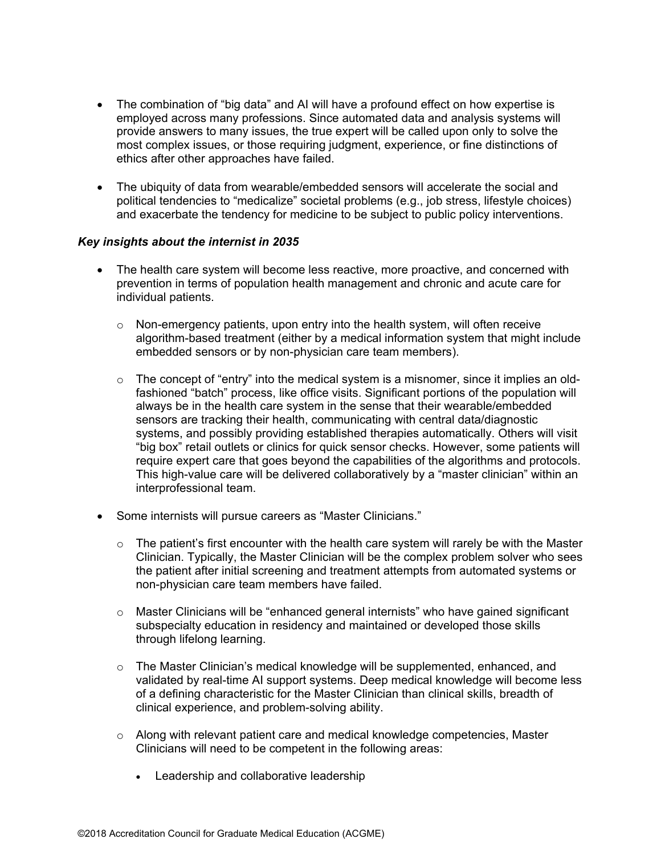- The combination of "big data" and AI will have a profound effect on how expertise is employed across many professions. Since automated data and analysis systems will provide answers to many issues, the true expert will be called upon only to solve the most complex issues, or those requiring judgment, experience, or fine distinctions of ethics after other approaches have failed.
- The ubiquity of data from wearable/embedded sensors will accelerate the social and political tendencies to "medicalize" societal problems (e.g., job stress, lifestyle choices) and exacerbate the tendency for medicine to be subject to public policy interventions.

#### *Key insights about the internist in 2035*

- The health care system will become less reactive, more proactive, and concerned with prevention in terms of population health management and chronic and acute care for individual patients.
	- $\circ$  Non-emergency patients, upon entry into the health system, will often receive algorithm-based treatment (either by a medical information system that might include embedded sensors or by non-physician care team members).
	- $\circ$  The concept of "entry" into the medical system is a misnomer, since it implies an oldfashioned "batch" process, like office visits. Significant portions of the population will always be in the health care system in the sense that their wearable/embedded sensors are tracking their health, communicating with central data/diagnostic systems, and possibly providing established therapies automatically. Others will visit "big box" retail outlets or clinics for quick sensor checks. However, some patients will require expert care that goes beyond the capabilities of the algorithms and protocols. This high-value care will be delivered collaboratively by a "master clinician" within an interprofessional team.
- Some internists will pursue careers as "Master Clinicians."
	- $\circ$  The patient's first encounter with the health care system will rarely be with the Master Clinician. Typically, the Master Clinician will be the complex problem solver who sees the patient after initial screening and treatment attempts from automated systems or non-physician care team members have failed.
	- $\circ$  Master Clinicians will be "enhanced general internists" who have gained significant subspecialty education in residency and maintained or developed those skills through lifelong learning.
	- $\circ$  The Master Clinician's medical knowledge will be supplemented, enhanced, and validated by real-time AI support systems. Deep medical knowledge will become less of a defining characteristic for the Master Clinician than clinical skills, breadth of clinical experience, and problem-solving ability.
	- $\circ$  Along with relevant patient care and medical knowledge competencies, Master Clinicians will need to be competent in the following areas:
		- Leadership and collaborative leadership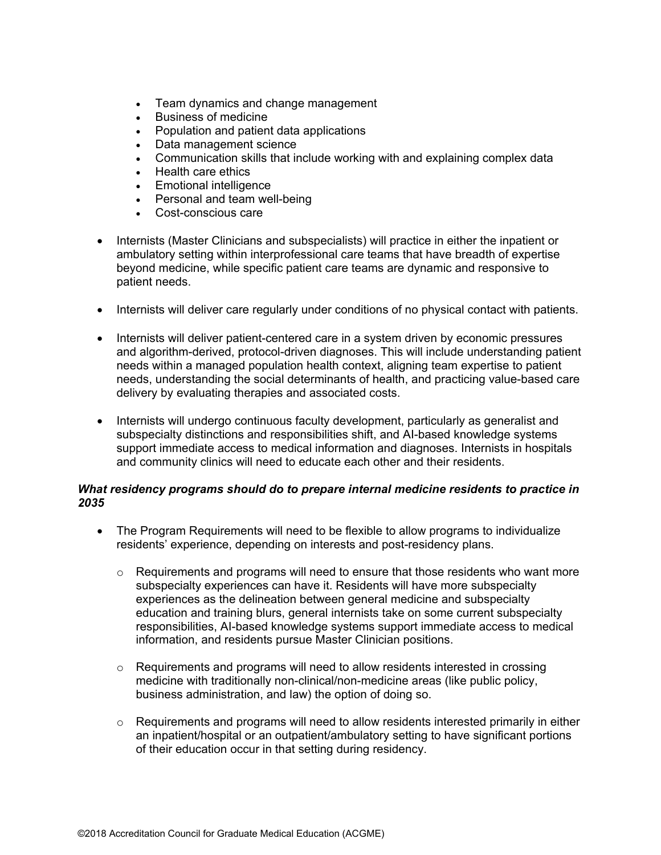- Team dynamics and change management
- Business of medicine
- Population and patient data applications
- Data management science
- Communication skills that include working with and explaining complex data
- Health care ethics
- Emotional intelligence
- Personal and team well-being
- Cost-conscious care
- Internists (Master Clinicians and subspecialists) will practice in either the inpatient or ambulatory setting within interprofessional care teams that have breadth of expertise beyond medicine, while specific patient care teams are dynamic and responsive to patient needs.
- Internists will deliver care regularly under conditions of no physical contact with patients.
- Internists will deliver patient-centered care in a system driven by economic pressures and algorithm-derived, protocol-driven diagnoses. This will include understanding patient needs within a managed population health context, aligning team expertise to patient needs, understanding the social determinants of health, and practicing value-based care delivery by evaluating therapies and associated costs.
- Internists will undergo continuous faculty development, particularly as generalist and subspecialty distinctions and responsibilities shift, and AI-based knowledge systems support immediate access to medical information and diagnoses. Internists in hospitals and community clinics will need to educate each other and their residents.

## *What residency programs should do to prepare internal medicine residents to practice in 2035*

- The Program Requirements will need to be flexible to allow programs to individualize residents' experience, depending on interests and post-residency plans.
	- $\circ$  Requirements and programs will need to ensure that those residents who want more subspecialty experiences can have it. Residents will have more subspecialty experiences as the delineation between general medicine and subspecialty education and training blurs, general internists take on some current subspecialty responsibilities, AI-based knowledge systems support immediate access to medical information, and residents pursue Master Clinician positions.
	- $\circ$  Requirements and programs will need to allow residents interested in crossing medicine with traditionally non-clinical/non-medicine areas (like public policy, business administration, and law) the option of doing so.
	- $\circ$  Requirements and programs will need to allow residents interested primarily in either an inpatient/hospital or an outpatient/ambulatory setting to have significant portions of their education occur in that setting during residency.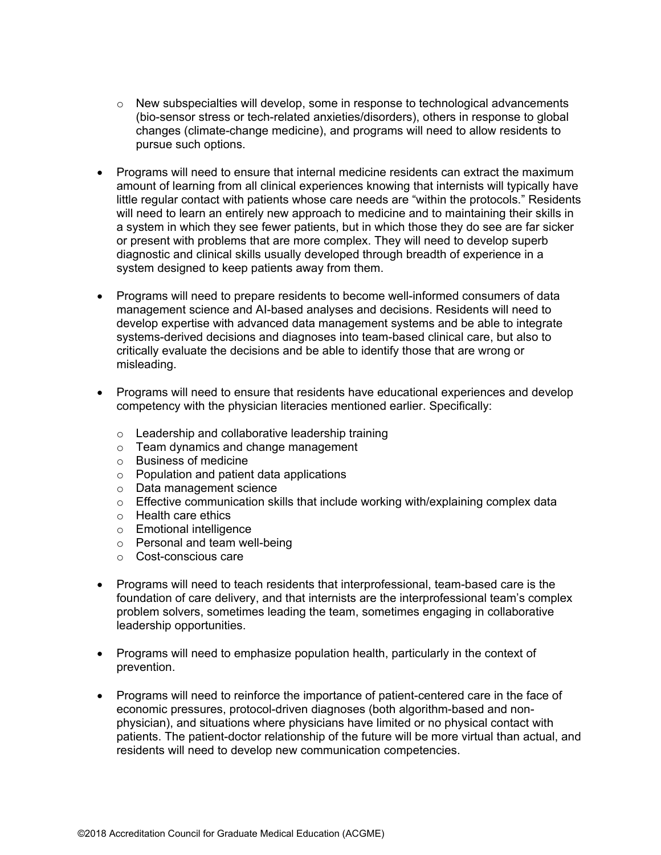- $\circ$  New subspecialties will develop, some in response to technological advancements (bio-sensor stress or tech-related anxieties/disorders), others in response to global changes (climate-change medicine), and programs will need to allow residents to pursue such options.
- Programs will need to ensure that internal medicine residents can extract the maximum amount of learning from all clinical experiences knowing that internists will typically have little regular contact with patients whose care needs are "within the protocols." Residents will need to learn an entirely new approach to medicine and to maintaining their skills in a system in which they see fewer patients, but in which those they do see are far sicker or present with problems that are more complex. They will need to develop superb diagnostic and clinical skills usually developed through breadth of experience in a system designed to keep patients away from them.
- Programs will need to prepare residents to become well-informed consumers of data management science and AI-based analyses and decisions. Residents will need to develop expertise with advanced data management systems and be able to integrate systems-derived decisions and diagnoses into team-based clinical care, but also to critically evaluate the decisions and be able to identify those that are wrong or misleading.
- Programs will need to ensure that residents have educational experiences and develop competency with the physician literacies mentioned earlier. Specifically:
	- o Leadership and collaborative leadership training
	- o Team dynamics and change management
	- o Business of medicine
	- o Population and patient data applications
	- o Data management science
	- $\circ$  Effective communication skills that include working with/explaining complex data
	- o Health care ethics
	- o Emotional intelligence
	- o Personal and team well-being
	- o Cost-conscious care
- Programs will need to teach residents that interprofessional, team-based care is the foundation of care delivery, and that internists are the interprofessional team's complex problem solvers, sometimes leading the team, sometimes engaging in collaborative leadership opportunities.
- Programs will need to emphasize population health, particularly in the context of prevention.
- Programs will need to reinforce the importance of patient-centered care in the face of economic pressures, protocol-driven diagnoses (both algorithm-based and nonphysician), and situations where physicians have limited or no physical contact with patients. The patient-doctor relationship of the future will be more virtual than actual, and residents will need to develop new communication competencies.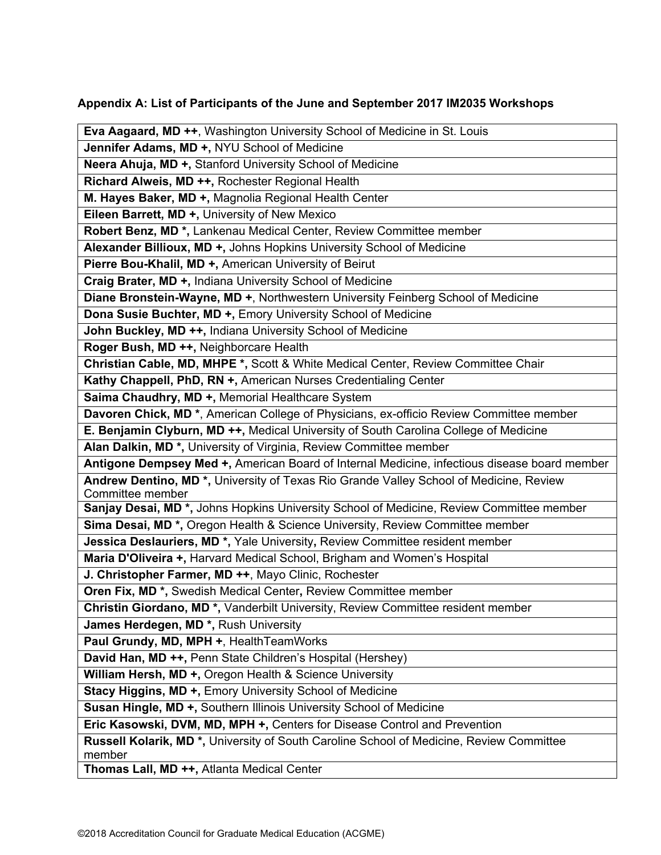# **Appendix A: List of Participants of the June and September 2017 IM2035 Workshops**

| Eva Aagaard, MD ++, Washington University School of Medicine in St. Louis                                                        |
|----------------------------------------------------------------------------------------------------------------------------------|
| Jennifer Adams, MD +, NYU School of Medicine                                                                                     |
| Neera Ahuja, MD +, Stanford University School of Medicine                                                                        |
| Richard Alweis, MD ++, Rochester Regional Health                                                                                 |
| M. Hayes Baker, MD +, Magnolia Regional Health Center                                                                            |
| Eileen Barrett, MD +, University of New Mexico                                                                                   |
| Robert Benz, MD <sup>*</sup> , Lankenau Medical Center, Review Committee member                                                  |
| Alexander Billioux, MD +, Johns Hopkins University School of Medicine                                                            |
| Pierre Bou-Khalil, MD +, American University of Beirut                                                                           |
| Craig Brater, MD +, Indiana University School of Medicine                                                                        |
| Diane Bronstein-Wayne, MD +, Northwestern University Feinberg School of Medicine                                                 |
| Dona Susie Buchter, MD +, Emory University School of Medicine                                                                    |
| John Buckley, MD ++, Indiana University School of Medicine                                                                       |
| Roger Bush, MD ++, Neighborcare Health                                                                                           |
| Christian Cable, MD, MHPE *, Scott & White Medical Center, Review Committee Chair                                                |
| Kathy Chappell, PhD, RN +, American Nurses Credentialing Center                                                                  |
| Saima Chaudhry, MD +, Memorial Healthcare System                                                                                 |
| Davoren Chick, MD <sup>*</sup> , American College of Physicians, ex-officio Review Committee member                              |
| E. Benjamin Clyburn, MD ++, Medical University of South Carolina College of Medicine                                             |
| Alan Dalkin, MD <sup>*</sup> , University of Virginia, Review Committee member                                                   |
| Antigone Dempsey Med +, American Board of Internal Medicine, infectious disease board member                                     |
| Andrew Dentino, MD <sup>*</sup> , University of Texas Rio Grande Valley School of Medicine, Review                               |
| Committee member<br>Sanjay Desai, MD <sup>*</sup> , Johns Hopkins University School of Medicine, Review Committee member         |
| Sima Desai, MD <sup>*</sup> , Oregon Health & Science University, Review Committee member                                        |
|                                                                                                                                  |
| Jessica Deslauriers, MD <sup>*</sup> , Yale University, Review Committee resident member                                         |
| Maria D'Oliveira +, Harvard Medical School, Brigham and Women's Hospital<br>J. Christopher Farmer, MD ++, Mayo Clinic, Rochester |
| Oren Fix, MD <sup>*</sup> , Swedish Medical Center, Review Committee member                                                      |
| Christin Giordano, MD <sup>*</sup> , Vanderbilt University, Review Committee resident member                                     |
| James Herdegen, MD <sup>*</sup> , Rush University                                                                                |
| Paul Grundy, MD, MPH +, Health Team Works                                                                                        |
| David Han, MD ++, Penn State Children's Hospital (Hershey)                                                                       |
| William Hersh, MD +, Oregon Health & Science University                                                                          |
| Stacy Higgins, MD +, Emory University School of Medicine                                                                         |
| Susan Hingle, MD +, Southern Illinois University School of Medicine                                                              |
|                                                                                                                                  |
| Eric Kasowski, DVM, MD, MPH +, Centers for Disease Control and Prevention                                                        |
| Russell Kolarik, MD <sup>*</sup> , University of South Caroline School of Medicine, Review Committee<br>member                   |
| Thomas Lall, MD ++, Atlanta Medical Center                                                                                       |